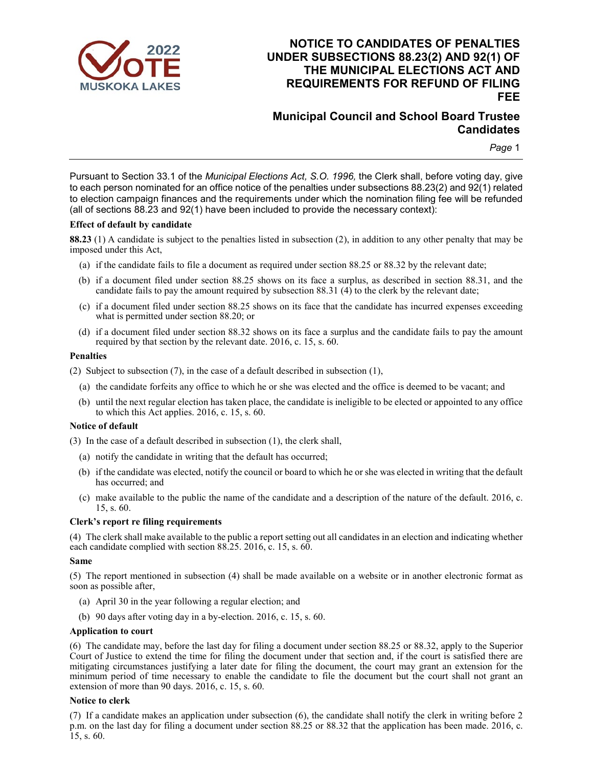

# **NOTICE TO CANDIDATES OF PENALTIES UNDER SUBSECTIONS 88.23(2) AND 92(1) OF THE MUNICIPAL ELECTIONS ACT AND REQUIREMENTS FOR REFUND OF FILING FEE**

# **Municipal Council and School Board Trustee Candidates**

*Page* 1

Pursuant to Section 33.1 of the *Municipal Elections Act, S.O. 1996,* the Clerk shall, before voting day, give to each person nominated for an office notice of the penalties under subsections 88.23(2) and 92(1) related to election campaign finances and the requirements under which the nomination filing fee will be refunded (all of sections 88.23 and 92(1) have been included to provide the necessary context):

#### **Effect of default by candidate**

**88.23** (1) A candidate is subject to the penalties listed in subsection (2), in addition to any other penalty that may be imposed under this Act,

- (a) if the candidate fails to file a document as required under section 88.25 or 88.32 by the relevant date;
- (b) if a document filed under section 88.25 shows on its face a surplus, as described in section 88.31, and the candidate fails to pay the amount required by subsection 88.31 (4) to the clerk by the relevant date;
- (c) if a document filed under section 88.25 shows on its face that the candidate has incurred expenses exceeding what is permitted under section 88.20; or
- (d) if a document filed under section 88.32 shows on its face a surplus and the candidate fails to pay the amount required by that section by the relevant date. 2016, c. 15, s. 60.

### **Penalties**

(2) Subject to subsection (7), in the case of a default described in subsection (1),

- (a) the candidate forfeits any office to which he or she was elected and the office is deemed to be vacant; and
- (b) until the next regular election has taken place, the candidate is ineligible to be elected or appointed to any office to which this Act applies. 2016, c. 15, s. 60.

## **Notice of default**

(3) In the case of a default described in subsection (1), the clerk shall,

- (a) notify the candidate in writing that the default has occurred;
- (b) if the candidate was elected, notify the council or board to which he or she was elected in writing that the default has occurred; and
- (c) make available to the public the name of the candidate and a description of the nature of the default. 2016, c. 15, s. 60.

#### **Clerk's report re filing requirements**

(4) The clerk shall make available to the public a report setting out all candidates in an election and indicating whether each candidate complied with section 88.25. 2016, c. 15, s. 60.

#### **Same**

(5) The report mentioned in subsection (4) shall be made available on a website or in another electronic format as soon as possible after,

- (a) April 30 in the year following a regular election; and
- (b) 90 days after voting day in a by-election. 2016, c. 15, s. 60.

#### **Application to court**

(6) The candidate may, before the last day for filing a document under section 88.25 or 88.32, apply to the Superior Court of Justice to extend the time for filing the document under that section and, if the court is satisfied there are mitigating circumstances justifying a later date for filing the document, the court may grant an extension for the minimum period of time necessary to enable the candidate to file the document but the court shall not grant an extension of more than 90 days. 2016, c. 15, s. 60.

#### **Notice to clerk**

(7) If a candidate makes an application under subsection (6), the candidate shall notify the clerk in writing before 2 p.m. on the last day for filing a document under section 88.25 or 88.32 that the application has been made. 2016, c. 15, s. 60.